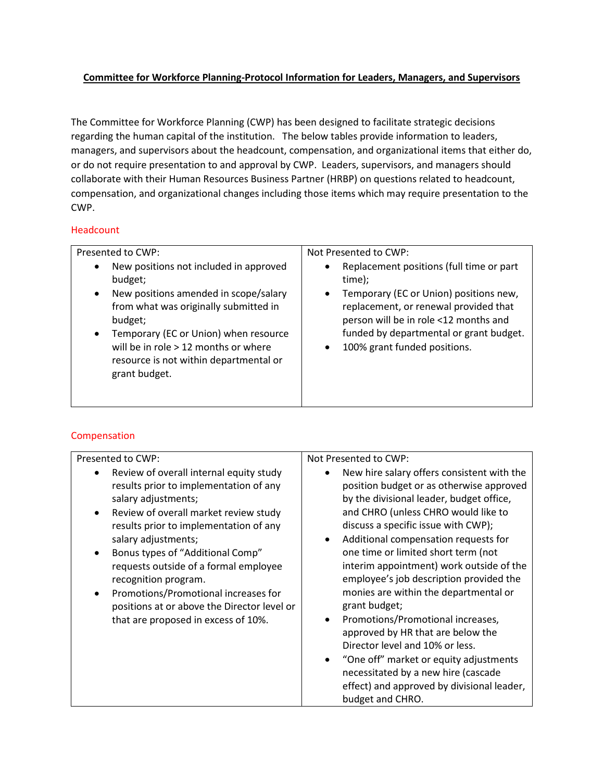## **Committee for Workforce Planning-Protocol Information for Leaders, Managers, and Supervisors**

The Committee for Workforce Planning (CWP) has been designed to facilitate strategic decisions regarding the human capital of the institution. The below tables provide information to leaders, managers, and supervisors about the headcount, compensation, and organizational items that either do, or do not require presentation to and approval by CWP. Leaders, supervisors, and managers should collaborate with their Human Resources Business Partner (HRBP) on questions related to headcount, compensation, and organizational changes including those items which may require presentation to the CWP.

## Headcount

| Presented to CWP:                      | Not Presented to CWP:                    |
|----------------------------------------|------------------------------------------|
| New positions not included in approved | Replacement positions (full time or part |
| budget;                                | $\bullet$                                |
| New positions amended in scope/salary  | time);                                   |
| $\bullet$                              | Temporary (EC or Union) positions new,   |
| from what was originally submitted in  | $\bullet$                                |
| budget;                                | replacement, or renewal provided that    |
| Temporary (EC or Union) when resource  | person will be in role <12 months and    |
| will be in role > 12 months or where   | funded by departmental or grant budget.  |
| resource is not within departmental or | 100% grant funded positions.             |
| grant budget.                          | $\bullet$                                |

## Compensation

| Presented to CWP:                                                                                                                                                                                                                                                                                                                                                                                                                                     | Not Presented to CWP:                                                                                                                                                                                                                                                                                                                                                                                                                                                                                                                                                                                                                                                                                                         |
|-------------------------------------------------------------------------------------------------------------------------------------------------------------------------------------------------------------------------------------------------------------------------------------------------------------------------------------------------------------------------------------------------------------------------------------------------------|-------------------------------------------------------------------------------------------------------------------------------------------------------------------------------------------------------------------------------------------------------------------------------------------------------------------------------------------------------------------------------------------------------------------------------------------------------------------------------------------------------------------------------------------------------------------------------------------------------------------------------------------------------------------------------------------------------------------------------|
| Review of overall internal equity study<br>results prior to implementation of any<br>salary adjustments;<br>Review of overall market review study<br>results prior to implementation of any<br>salary adjustments;<br>Bonus types of "Additional Comp"<br>requests outside of a formal employee<br>recognition program.<br>Promotions/Promotional increases for<br>positions at or above the Director level or<br>that are proposed in excess of 10%. | New hire salary offers consistent with the<br>position budget or as otherwise approved<br>by the divisional leader, budget office,<br>and CHRO (unless CHRO would like to<br>discuss a specific issue with CWP);<br>Additional compensation requests for<br>one time or limited short term (not<br>interim appointment) work outside of the<br>employee's job description provided the<br>monies are within the departmental or<br>grant budget;<br>Promotions/Promotional increases,<br>approved by HR that are below the<br>Director level and 10% or less.<br>"One off" market or equity adjustments<br>$\bullet$<br>necessitated by a new hire (cascade<br>effect) and approved by divisional leader,<br>budget and CHRO. |